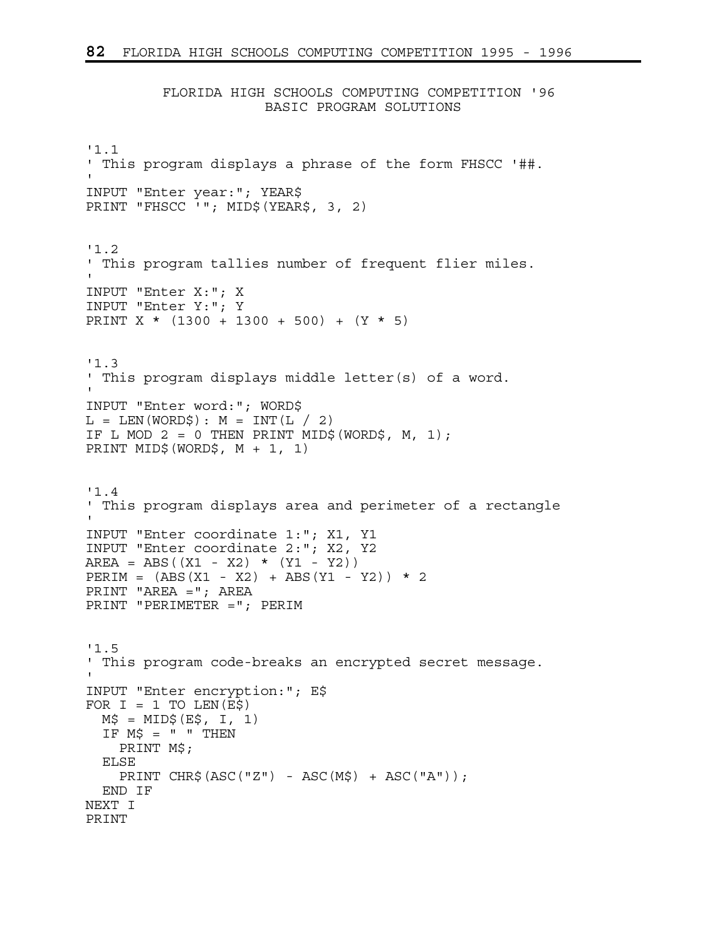FLORIDA HIGH SCHOOLS COMPUTING COMPETITION '96 BASIC PROGRAM SOLUTIONS

```
'1.1 
' This program displays a phrase of the form FHSCC '##. 
' 
INPUT "Enter year:"; YEAR$ 
PRINT "FHSCC '"; MID$(YEAR$, 3, 2)
'1.2 
' This program tallies number of frequent flier miles. 
' 
INPUT "Enter X:"; X 
INPUT "Enter Y:"; Y 
PRINT X * (1300 + 1300 + 500) + (Y * 5) 
'1.3 
' This program displays middle letter(s) of a word. 
' 
INPUT "Enter word:"; WORD$ 
L = LEN(WORD\): M = INT(L / 2)IF L MOD 2 = 0 THEN PRINT MID$ (WORD$, M, 1);
PRINT MID$(WORD$, M + 1, 1) 
'1.4 
' This program displays area and perimeter of a rectangle 
' 
INPUT "Enter coordinate 1:"; X1, Y1 
INPUT "Enter coordinate 2:"; X2, Y2 
AREA = ABS((X1 - X2) * (Y1 - Y2))
PERIM = (ABS(X1 - X2) + ABS(Y1 - Y2)) * 2PRINT "AREA ="; AREA 
PRINT "PERIMETER ="; PERIM 
'1.5 
' This program code-breaks an encrypted secret message. 
' 
INPUT "Enter encryption:"; E$ 
FOR I = 1 TO LEN(E$)
 M\ = MID\ (E\, I, 1)
  IF M$ = " " THEN" PRINT M$; 
   ELSE 
   PRINT CHR$(ASC("Z") - ASC(M$) + ASC("A");
   END IF 
NEXT I 
PRINT
```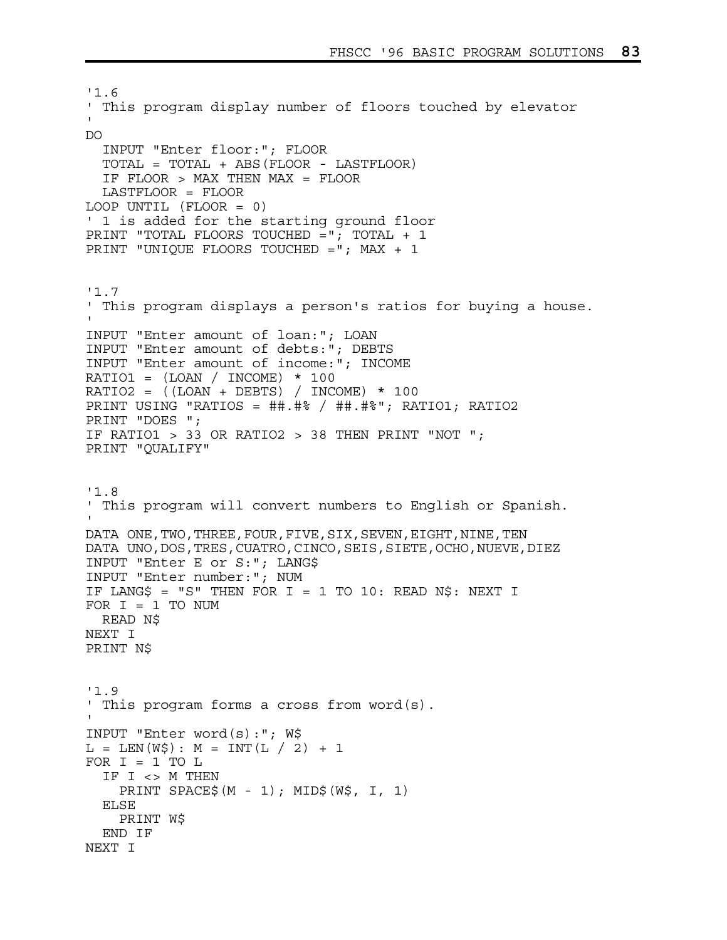'1.6 ' This program display number of floors touched by elevator ' DO INPUT "Enter floor:"; FLOOR TOTAL = TOTAL + ABS(FLOOR - LASTFLOOR) IF FLOOR > MAX THEN MAX = FLOOR LASTFLOOR = FLOOR LOOP UNTIL (FLOOR = 0) ' 1 is added for the starting ground floor PRINT "TOTAL FLOORS TOUCHED ="; TOTAL + 1 PRINT "UNIQUE FLOORS TOUCHED ="; MAX + 1 '1.7 ' This program displays a person's ratios for buying a house. ' INPUT "Enter amount of loan:"; LOAN INPUT "Enter amount of debts:"; DEBTS INPUT "Enter amount of income:"; INCOME RATIO1 =  $(LOAN / INCOME) * 100$ RATIO2 =  $((LOAN + DEBTS) / INCOME) * 100$ PRINT USING "RATIOS = ##.#% / ##.#%"; RATIO1; RATIO2 PRINT "DOES "; IF RATIO1  $> 33$  OR RATIO2  $> 38$  THEN PRINT "NOT "; PRINT "QUALIFY" '1.8 ' This program will convert numbers to English or Spanish. ' DATA ONE, TWO, THREE, FOUR, FIVE, SIX, SEVEN, EIGHT, NINE, TEN DATA UNO, DOS, TRES, CUATRO, CINCO, SEIS, SIETE, OCHO, NUEVE, DIEZ INPUT "Enter E or S:"; LANG\$ INPUT "Enter number:"; NUM IF LANG\$ = "S" THEN FOR I = 1 TO 10: READ N\$: NEXT I FOR  $I = 1$  TO NUM READ N\$ NEXT I PRINT N\$ '1.9 ' This program forms a cross from word(s). ' INPUT "Enter word(s):"; W\$  $L = LEN(W\$)$ :  $M = INT(L / 2) + 1$ FOR  $I = 1$  TO  $L$  IF I <> M THEN PRINT SPACE\$(M - 1); MID\$(W\$, I, 1) ELSE PRINT W\$ END IF NEXT I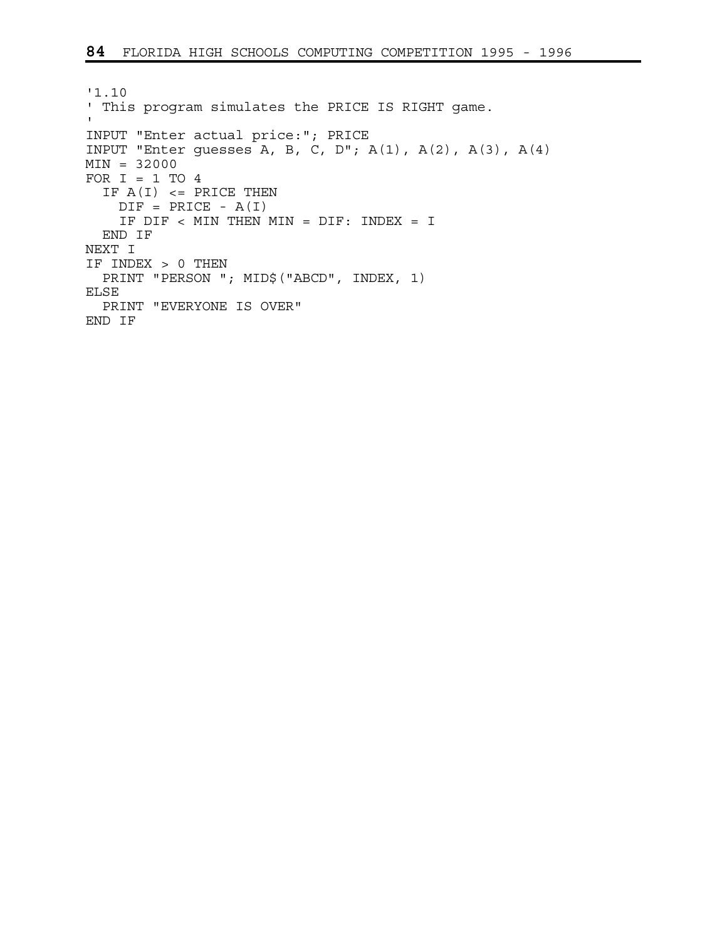```
'1.10 
' This program simulates the PRICE IS RIGHT game. 
\mathbf{I}INPUT "Enter actual price:"; PRICE 
INPUT "Enter guesses A, B, C, D"; A(1), A(2), A(3), A(4)
MIN = 32000 
FOR I = 1 TO 4IF A(I) <= PRICE THEN
   DIF = PRICE - A(I) IF DIF < MIN THEN MIN = DIF: INDEX = I 
  END IF 
NEXT I 
IF INDEX > 0 THEN 
  PRINT "PERSON "; MID$("ABCD", INDEX, 1) 
ELSE 
  PRINT "EVERYONE IS OVER" 
END IF
```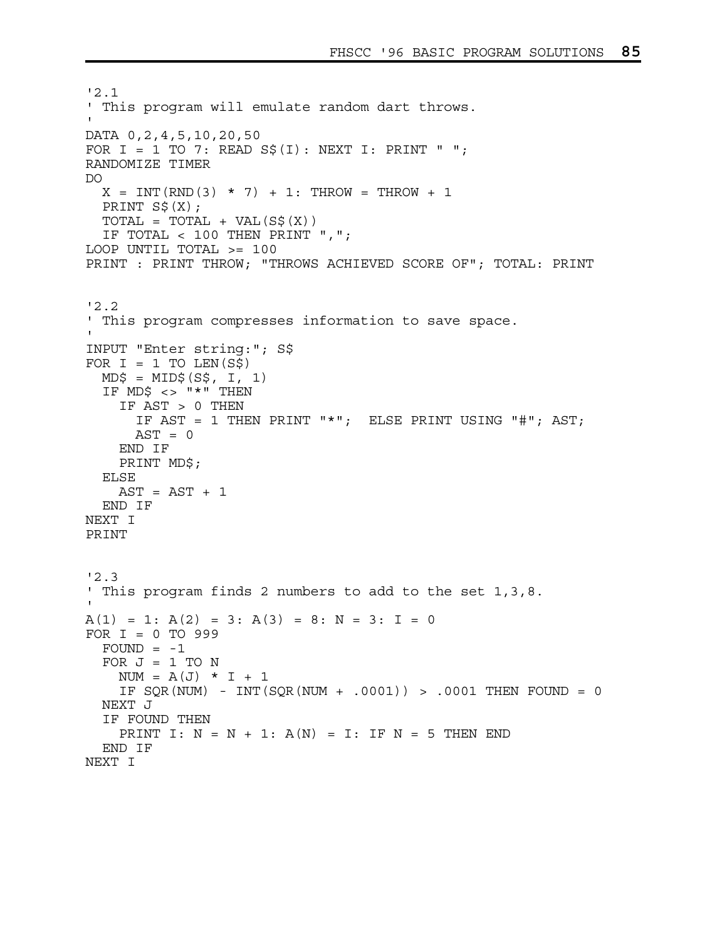```
'2.1 
' This program will emulate random dart throws. 
' 
DATA 0,2,4,5,10,20,50 
FOR I = 1 TO 7: READ S\(I): NEXT I: PRINT " ";
RANDOMIZE TIMER 
DO 
  X = INT(RND(3) * 7) + 1: THROUGH = THROUGH + 1 PRINT S$(X); 
 TOTAL = TOTAL + VAL(S$ (X)) IF TOTAL < 100 THEN PRINT ","; 
LOOP UNTIL TOTAL >= 100 
PRINT : PRINT THROW; "THROWS ACHIEVED SCORE OF"; TOTAL: PRINT 
'2.2 
' This program compresses information to save space. 
' 
INPUT "Enter string:"; S$ 
FOR I = 1 TO LEN(S$)
 MD\ = MD\(S\, I, 1)
   IF MD$ <> "*" THEN 
     IF AST > 0 THEN 
       IF AST = 1 THEN PRINT "*"; ELSE PRINT USING "#"; AST; 
      AST = 0 END IF 
     PRINT MD$; 
   ELSE 
   AST = AST + 1 END IF 
NEXT I 
PRINT 
'2.3 
' This program finds 2 numbers to add to the set 1,3,8. 
' 
A(1) = 1: A(2) = 3: A(3) = 8: N = 3: I = 0FOR I = 0 TO 999 
  FOUND = -1FOR J = 1 TO N
    NUM = A(J) * I + 1 IF SQR(NUM) - INT(SQR(NUM + .0001)) > .0001 THEN FOUND = 0 
  NEXT J 
   IF FOUND THEN 
    PRINT I: N = N + 1: A(N) = I: IF N = 5 THEN END
   END IF 
NEXT I
```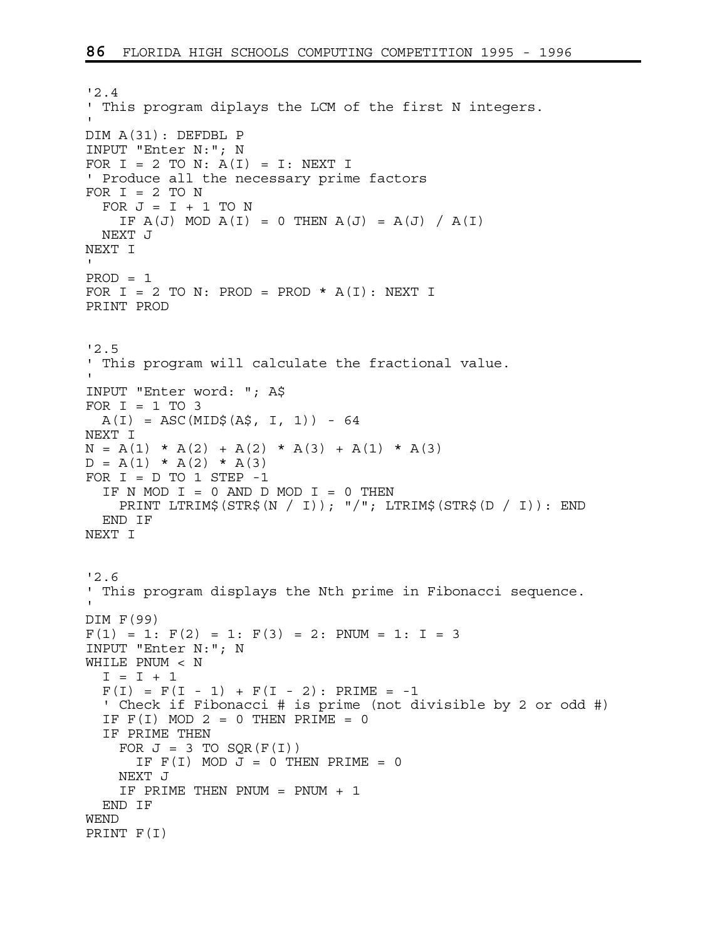```
'2.4 
' This program diplays the LCM of the first N integers. 
' 
DIM A(31): DEFDBL P 
INPUT "Enter N:"; N 
FOR I = 2 TO N: A(I) = I: NEXT I
' Produce all the necessary prime factors 
FOR I = 2 TO N
  FOR J = I + 1 TO N
    IF A(J) MOD A(I) = 0 THEN A(J) = A(J) / A(I) NEXT J 
NEXT I 
' 
PROD = 1FOR I = 2 TO N: PROD = PROD * A(I): NEXT I
PRINT PROD 
'2.5 
' This program will calculate the fractional value. 
' 
INPUT "Enter word: "; A$ 
FOR I = 1 TO 3
  A(I) = ASC(MID$(A$, I, 1)) - 64NEXT I 
N = A(1) * A(2) + A(2) * A(3) + A(1) * A(3)D = A(1) * A(2) * A(3)FOR I = D TO 1 STEP -1IF N MOD I = 0 AND D MOD I = 0 THEN
     PRINT LTRIM$(STR$(N / I)); "/"; LTRIM$(STR$(D / I)): END 
   END IF 
NEXT I 
'2.6 
' This program displays the Nth prime in Fibonacci sequence. 
' 
DIM F(99) 
F(1) = 1: F(2) = 1: F(3) = 2: PNUM = 1: I = 3
INPUT "Enter N:"; N 
WHILE PNUM < N 
  I = I + 1F(I) = F(I - 1) + F(I - 2): PRIME = -1
   ' Check if Fibonacci # is prime (not divisible by 2 or odd #) 
  IF F(I) MOD 2 = 0 THEN PRIME = 0
   IF PRIME THEN 
    FOR J = 3 TO SQR(F(I))
      IF F(I) MOD J = 0 THEN PRIME = 0
     NEXT J 
     IF PRIME THEN PNUM = PNUM + 1 
   END IF 
WEND 
PRINT F(I)
```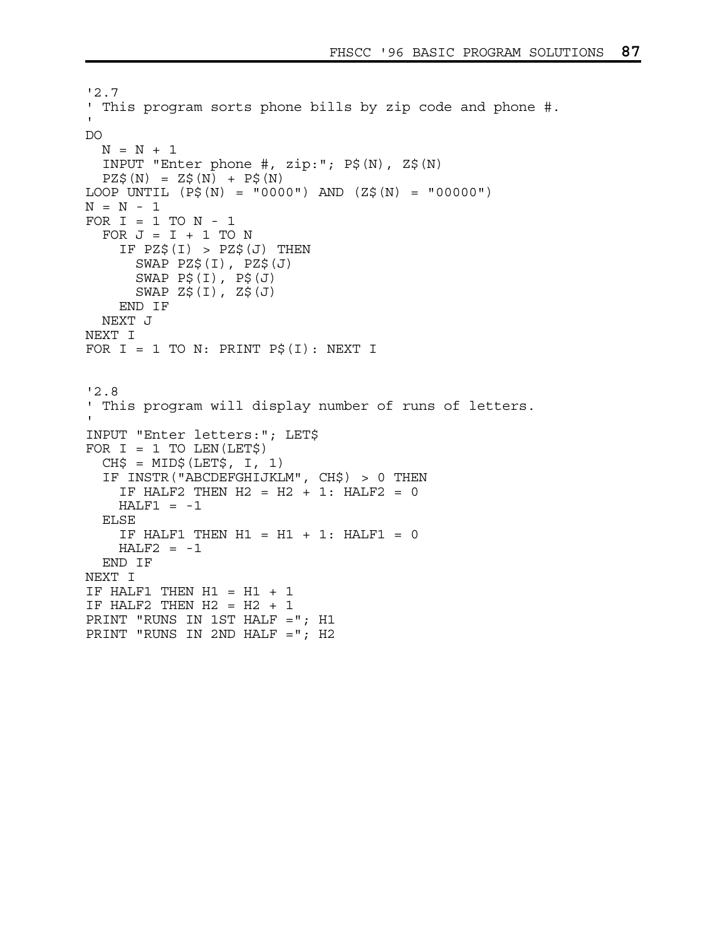```
'2.7 
' This program sorts phone bills by zip code and phone #. 
' 
DO 
 N = N + 1 INPUT "Enter phone #, zip:"; P$(N), Z$(N) 
  PZ\$ (N) = Z\$ (N) + P\$ (N)LOOP UNTIL (P$ (N) = "0000") AND (Z$ (N) = "00000")N = N - 1FOR I = 1 TO N - 1FOR J = I + 1 TO N
    IF PZ$(I) > PZ$(J) THEN SWAP PZ$(I), PZ$(J) 
      SWAP P\$ (I), P\$ (J) SWAP Z$(I), Z$(J) 
     END IF 
   NEXT J 
NEXT I 
FOR I = 1 TO N: PRINT P\hat{S}(I): NEXT I
'2.8 
' This program will display number of runs of letters. 
' 
INPUT "Enter letters:"; LET$ 
FOR I = 1 TO LEN(LET$)
  CH$ = MID$ (LET$, I, 1) IF INSTR("ABCDEFGHIJKLM", CH$) > 0 THEN 
   IF HALF2 THEN H2 = H2 + 1: HALF2 = 0
   HALF1 = -1 ELSE 
    IF HALF1 THEN H1 = H1 + 1: HALF1 = 0HALF2 = -1 END IF 
NEXT I 
IF HALF1 THEN H1 = H1 + 1IF HALF2 THEN H2 = H2 + 1PRINT "RUNS IN 1ST HALF ="; H1 
PRINT "RUNS IN 2ND HALF ="; H2
```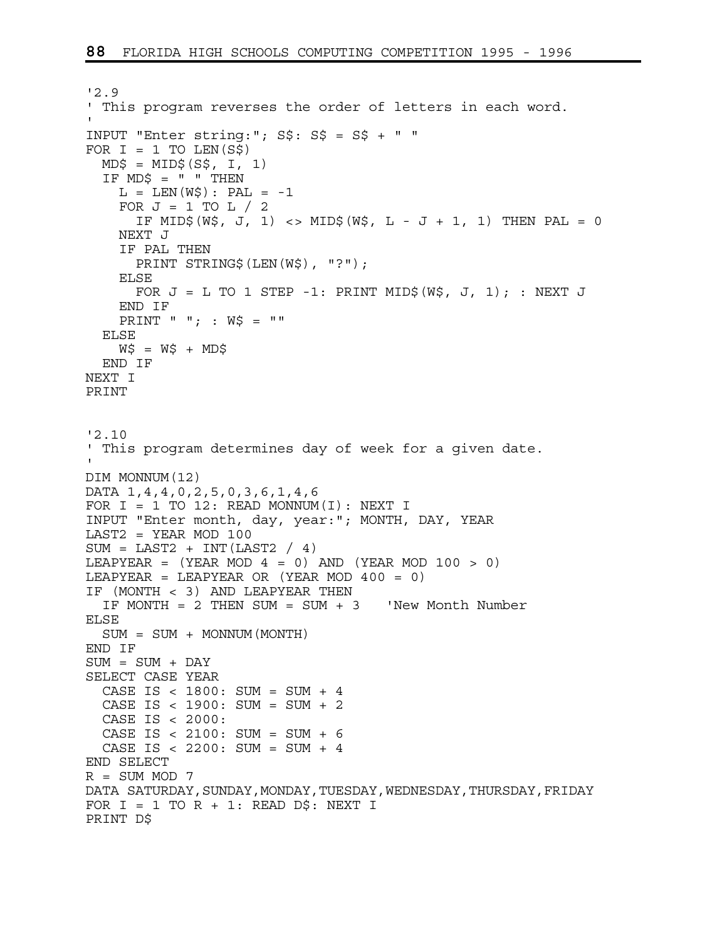```
'2.9 
' This program reverses the order of letters in each word. 
' 
INPUT "Enter string:"; S$: S$ = S$ + " " 
FOR I = 1 TO LEN(S$)
  MD$ = MID$ (S$, I, 1)IF MDS = " " THENL = LEN(WS): PAL = -1
    FOR J = 1 TO L / 2IF MID$(W$, J, 1) <> MID$(W$, L - J + 1, 1) THEN PAL = 0
     NEXT J 
     IF PAL THEN 
       PRINT STRING$(LEN(W$), "?"); 
     ELSE 
      FOR J = L TO 1 STEP -1: PRINT MID$ (W$, J, 1); : NEXT J
     END IF 
     PRINT " "; : W$ = "" 
   ELSE 
    W\ = W\ + MD\ END IF 
NEXT I 
PRINT 
'2.10 
' This program determines day of week for a given date. 
' 
DIM MONNUM(12) 
DATA 1,4,4,0,2,5,0,3,6,1,4,6 
FOR I = 1 TO 12: READ MONNUM(I): NEXT I
INPUT "Enter month, day, year:"; MONTH, DAY, YEAR 
LAST2 = YEAR MOD 100 
SUM = LAST2 + INT(LAST2 / 4)LEAPYEAR = (YEAR MOD 4 = 0) AND (YEAR MOD 100 > 0)LEAPYEAR = LEAPYEAR OR (YEAR MOD 400 = 0)
IF (MONTH < 3) AND LEAPYEAR THEN 
 IF MONTH = 2 THEN SUM = SUM + 3 'New Month Number
ELSE 
   SUM = SUM + MONNUM(MONTH) 
END IF 
SUM = SUM + DAY 
SELECT CASE YEAR 
  CASE IS < 1800: SUM = SUM + 4 
  CASE IS < 1900: SUM = SUM + 2 
   CASE IS < 2000: 
  CASE IS < 2100: SUM = SUM + 6 
   CASE IS < 2200: SUM = SUM + 4 
END SELECT 
R = SUM MOD 7DATA SATURDAY, SUNDAY, MONDAY, TUESDAY, WEDNESDAY, THURSDAY, FRIDAY
FOR I = 1 TO R + 1: READ D\hat{S}: NEXT I
PRINT D$
```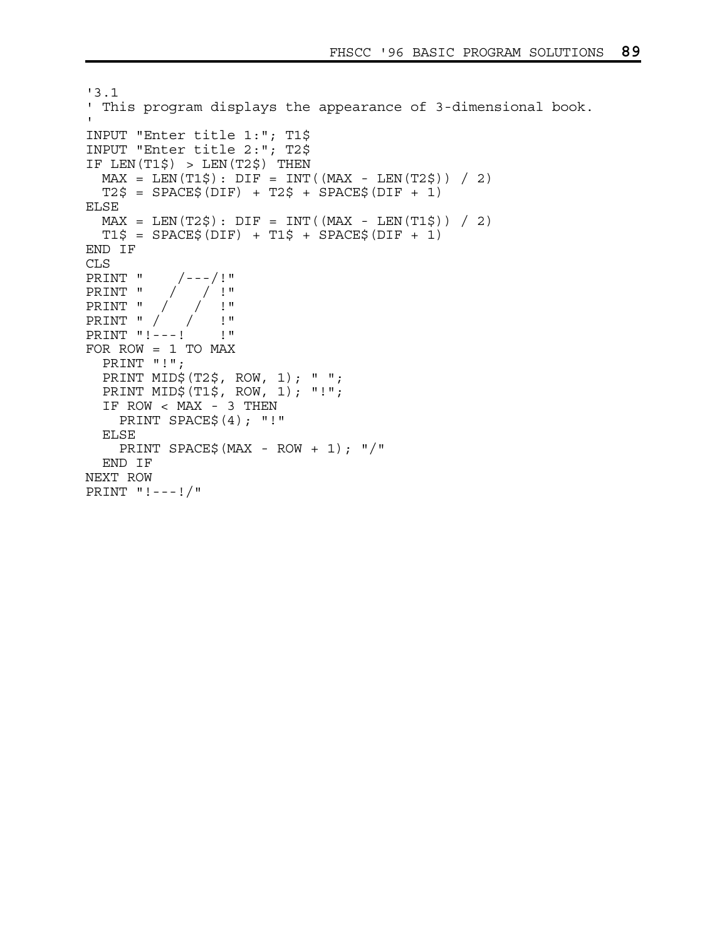```
'3.1 
' This program displays the appearance of 3-dimensional book. 
' 
INPUT "Enter title 1:"; T1$ 
INPUT "Enter title 2:"; T2$ 
IF LEN(T1\) > LEN(T2\) THEN
 MAX = LEN(T1\) : DIF = INT((MAX - LEN(T2\) ) / 2)
 T2\ = SPACE\zeta(DIF) + T2\zeta + SPACE\zeta(DIF + 1)
ELSE 
 MAX = LEN(T2\) : DIF = INT((MAX - LEN(T1\) ) / 2)
 T1\ = SPACE$(DIF) + T1$ + SPACE$(DIF + 1)
END IF 
CLS 
PRINT " /---/!" 
PRINT " / / !" 
PRINT " / / !" 
PRINT " / / !" 
PRINT "!---! !" 
FOR ROW = 1 TO MAX 
  PRINT "!"; 
  PRINT MID$(T2$, ROW, 1); " "; 
  PRINT MID$(T1$, ROW, 1); "!"; 
   IF ROW < MAX - 3 THEN 
     PRINT SPACE$(4); "!" 
   ELSE 
   PRINT SPACE$ (MAX - ROW + 1); \frac{1}{7} END IF 
NEXT ROW 
PRINT "!---!/"
```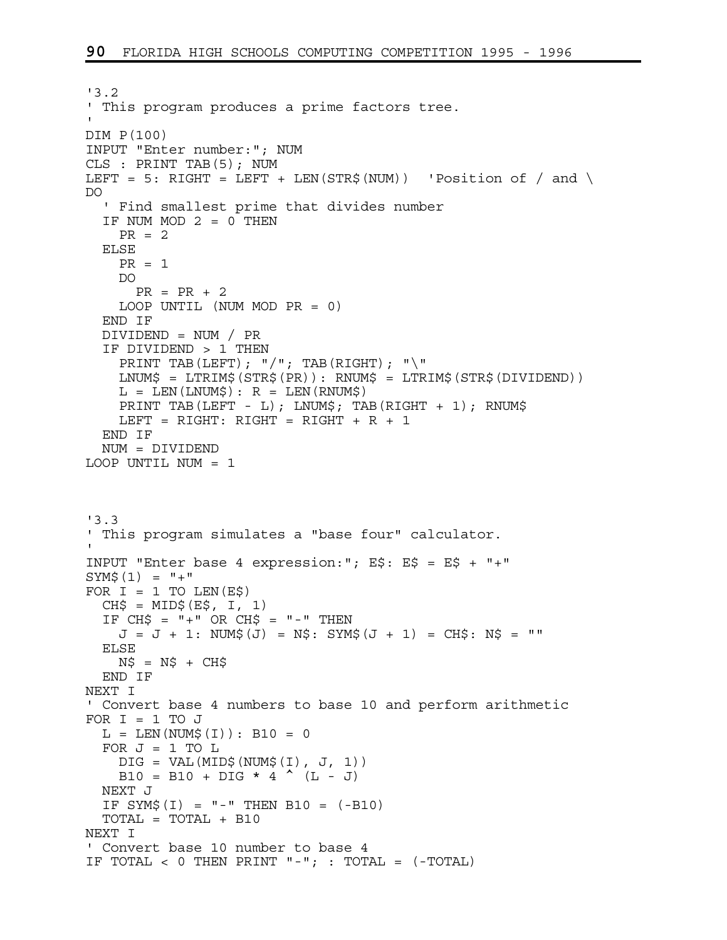```
'3.2 
' This program produces a prime factors tree. 
' 
DIM P(100) 
INPUT "Enter number:"; NUM 
CLS : PRINT TAB(5); NUM 
LEFT = 5: RIGHT = LEFT + LEN(STR$(NUM)) \cdot Position of / and \
DO 
   ' Find smallest prime that divides number 
  IF NUM MOD 2 = 0 THEN
   PR = 2 ELSE 
    PR = 1 DO 
      PR = PR + 2 LOOP UNTIL (NUM MOD PR = 0) 
   END IF 
   DIVIDEND = NUM / PR 
   IF DIVIDEND > 1 THEN 
    PRINT TAB(LEFT); "/"; TAB(RIGHT); "\"
    LNUM$ = LTRIM$(STR$(PR)): RNUM$ = LTRIM$(STR$(DIVIDEND)) 
   L = LEN(LNUM$); R = LEN(RNUM$) PRINT TAB(LEFT - L); LNUM$; TAB(RIGHT + 1); RNUM$ 
   LEFT = RIGHT: RIGHT = RIGHT + R + 1 END IF 
  NUM = DIVIDEND 
LOOP UNTIL NUM = 1 
'3.3 
' This program simulates a "base four" calculator. 
' 
INPUT "Enter base 4 expression:"; E$: E$ = E$ + "+" 
SYM$(1) = "+"FOR I = 1 TO LEN(E$)
  CH\ = MID\(E\, I, 1)
  IF CH$ = " +" OR CH$ = " -" THENJ = J + 1: NUM$(J) = N$: SYM$(J + 1) = CH$: N$ = ""
   ELSE 
   N\ = N\ + CH\ END IF 
NEXT I 
' Convert base 4 numbers to base 10 and perform arithmetic 
FOR I = 1 TO J
 L = LEN(NUM$(I)) : B10 = 0FOR J = 1 TO LDIG = VAL(MID$ (NUM$ (I), J, 1))B10 = B10 + DIG * 4 ^{\sim} (L - J)
  NEXT J 
  IF SYM$(I) = " -" THEN B10 = (-B10) TOTAL = TOTAL + B10 
NEXT I 
' Convert base 10 number to base 4 
IF TOTAL < 0 THEN PRINT "-"; : TOTAL = (-TOTAL)
```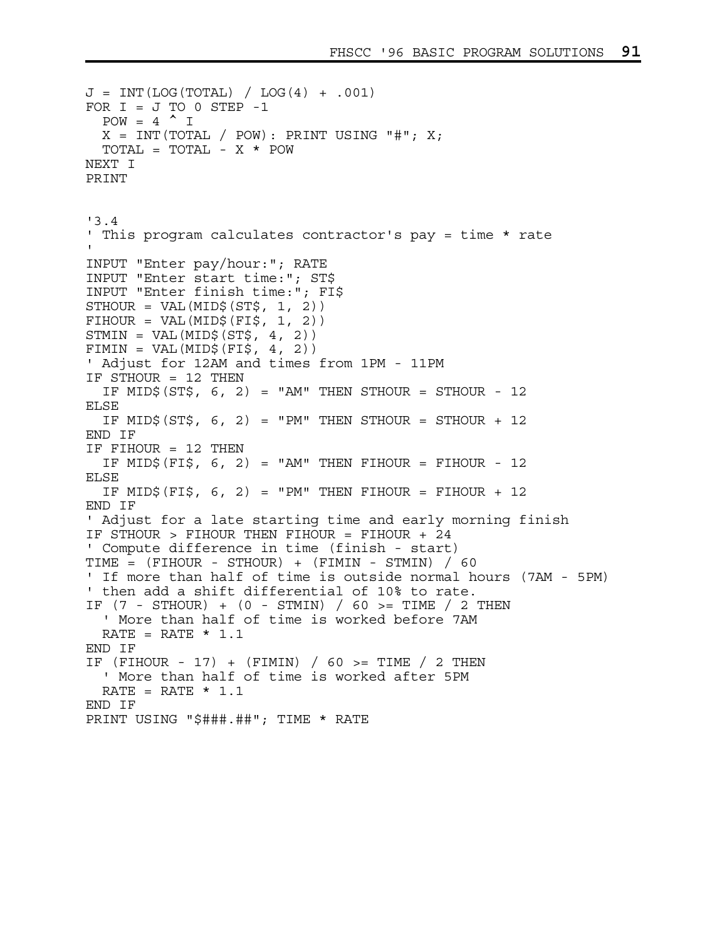```
J = INT(LOG(TOTAL) / LOG(4) + .001)FOR I = J TO 0 STEP -1POW = 4 \t M JX = INT(TOTAL / POW): PRINT USING "#"; X; TOTAL = TOTAL - X * POW 
NEXT I 
PRINT 
'3.4 
' This program calculates contractor's pay = time * rate 
' 
INPUT "Enter pay/hour:"; RATE 
INPUT "Enter start time:"; ST$ 
INPUT "Enter finish time:"; FI$ 
STHOUR = VAL(MID$ (ST$, 1, 2))FIHOUR = VAL(MID$ (FIS, 1, 2))STMIN = VAL(MID$ (ST$, 4, 2))FIMIN = VAL(MID$ (FI$, 4, 2))' Adjust for 12AM and times from 1PM - 11PM 
IF STHOUR = 12 THEN 
  IF MID$(ST$, 6, 2) = "AM" THEN STHOUR = STHOUR - 12
ELSE 
  IF MID$(ST$, 6, 2) = "PM" THEN STHOUR = STHOUR + 12
END IF 
IF FIHOUR = 12 THEN 
   IF MID$(FI$, 6, 2) = "AM" THEN FIHOUR = FIHOUR - 12 
ELSE 
  IF MID$(FI$, 6, 2) = "PM" THEN FIHOUR = FIHOUR + 12
END IF 
' Adjust for a late starting time and early morning finish 
IF STHOUR > FIHOUR THEN FIHOUR = FIHOUR + 24 
' Compute difference in time (finish - start) 
TIME = (FIHOUR - STHOUR) + (FIMIN - STMIN) / 60 
' If more than half of time is outside normal hours (7AM - 5PM) 
' then add a shift differential of 10% to rate. 
IF (7 - STHOUR) + (0 - STMIN) / 60 \geq TIME / 2 THEN ' More than half of time is worked before 7AM 
  RATE = RATE * 1.1END IF 
IF (FIHOUR - 17) + (FIMIN) / 60 >= TIME / 2 THEN
   ' More than half of time is worked after 5PM 
  RATE = RATE * 1.1END IF 
PRINT USING "$###.##"; TIME * RATE
```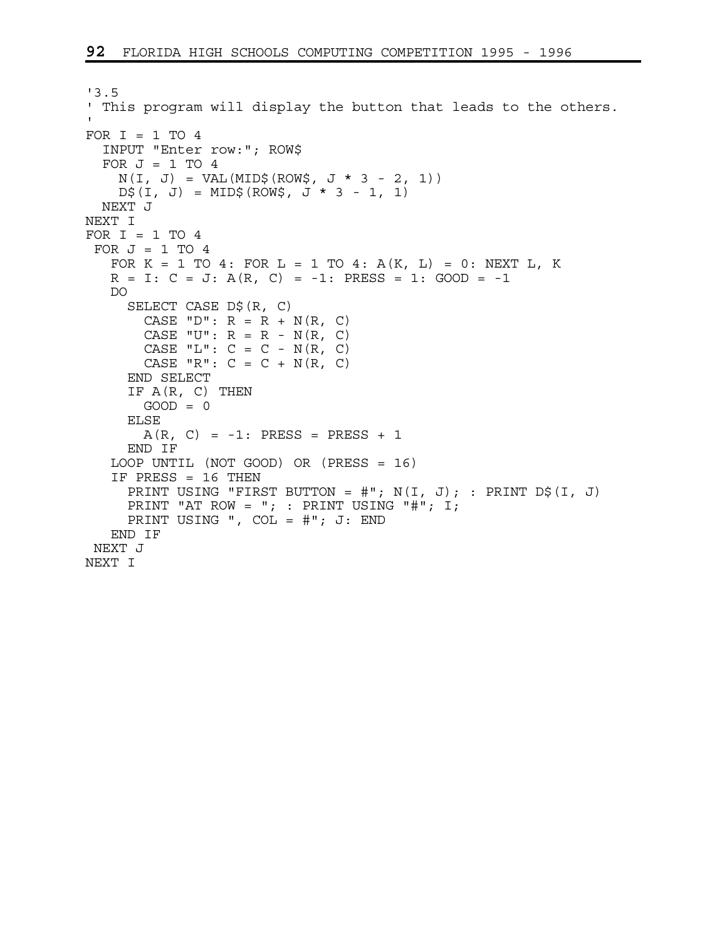```
'3.5 
' This program will display the button that leads to the others. 
' 
FOR I = 1 TO 4 INPUT "Enter row:"; ROW$ 
  FOR J = 1 TO 4
    N(I, J) = VAL(MID$ (ROM$, J * 3 - 2, 1))D\sharp(I, J) = MID\sharp(ROW\xi, J * 3 - 1, 1) NEXT J 
NEXT I 
FOR I = 1 TO 4FOR J = 1 TO 4
   FOR K = 1 TO 4: FOR L = 1 TO 4: A(K, L) = 0: NEXT L, K
   R = I: C = J: A(R, C) = -1: PRESS = 1: GOOD = -1 DO 
      SELECT CASE D$(R, C) 
       CASE "D": R = R + N(R, C)
       CASE "U": R = R - N(R, C)CASE "L": C = C - N(R, C)CASE "R": C = C + N(R, C) END SELECT 
      IF A(R, C) THEN 
       GOOD = 0 ELSE 
       A(R, C) = -1: PRESS = PRESS + 1
      END IF 
    LOOP UNTIL (NOT GOOD) OR (PRESS = 16) 
    IF PRESS = 16 THEN 
     PRINT USING "FIRST BUTTON = #"; N(I, J); : PRINT D$(I, J)
     PRINT "AT ROW = "; : PRINT USING "#"; I;
      PRINT USING ", COL = #"; J: END 
    END IF 
 NEXT J 
NEXT I
```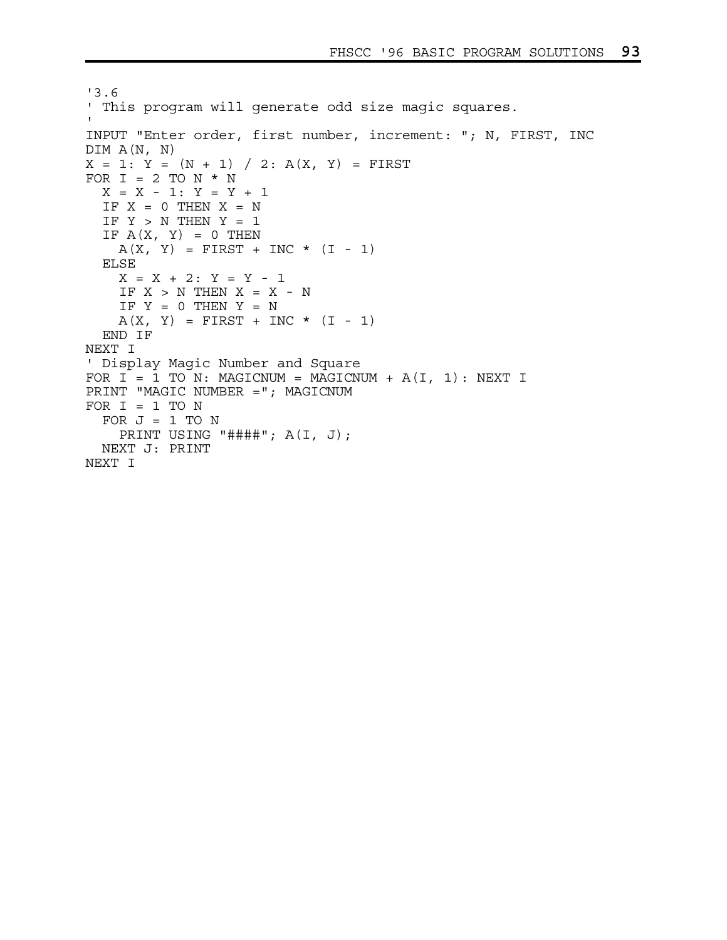```
'3.6 
' This program will generate odd size magic squares. 
' 
INPUT "Enter order, first number, increment: "; N, FIRST, INC 
DIM A(N, N) 
X = 1: Y = (N + 1) / 2: A(X, Y) = FIRSTFOR I = 2 TO N * N
  X = X - 1: Y = Y + 1IF X = 0 THEN X = NIF Y > N THEN Y = 1IF A(X, Y) = 0 THEN
   A(X, Y) = FIRST + INC * (I - 1) ELSE 
   X = X + 2: Y = Y - 1IF X > N THEN X = X - NIF Y = 0 THEN Y = NA(X, Y) = FIRST + INC * (I - 1) END IF 
NEXT I 
' Display Magic Number and Square 
FOR I = 1 TO N: MAGICNUM = MAGICNUM + A(I, 1): NEXT I
PRINT "MAGIC NUMBER ="; MAGICNUM 
FOR I = 1 TO N
  FOR J = 1 TO N
     PRINT USING "####"; A(I, J); 
  NEXT J: PRINT 
NEXT I
```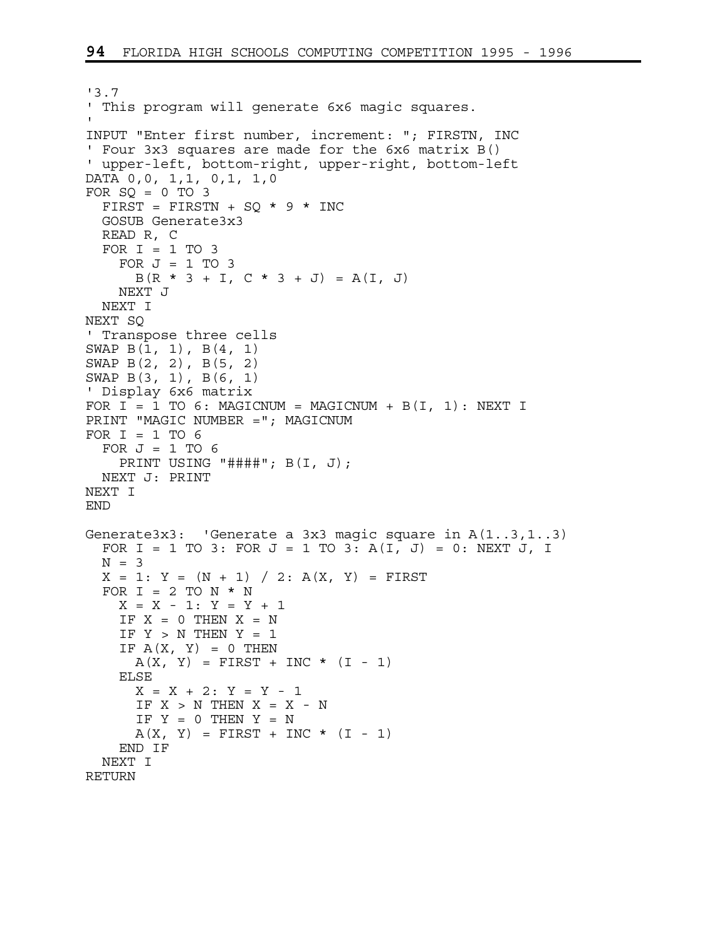```
'3.7 
' This program will generate 6x6 magic squares. 
' 
INPUT "Enter first number, increment: "; FIRSTN, INC 
' Four 3x3 squares are made for the 6x6 matrix B() 
' upper-left, bottom-right, upper-right, bottom-left 
DATA 0,0, 1,1, 0,1, 1,0 
FOR SQ = 0 TO 3
  FIRST = FIRSTN + SQ * 9 * INC
  GOSUB Generate3x3 
  READ R, C 
  FOR I = 1 TO 3
    FOR J = 1 TO 3
      B(R * 3 + I, C * 3 + J) = A(I, J) NEXT J 
   NEXT I 
NEXT SQ 
' Transpose three cells 
SWAP B(1, 1), B(4, 1) 
SWAP B(2, 2), B(5, 2) 
SWAP B(3, 1), B(6, 1) 
' Display 6x6 matrix 
FOR I = 1 TO 6: MAGICNUM = MAGICNUM + B(I, 1): NEXT I
PRINT "MAGIC NUMBER ="; MAGICNUM 
FOR I = 1 TO 6
  FOR J = 1 TO 6
    PRINT USING "####"; B(I, J); 
  NEXT J: PRINT 
NEXT I 
END 
Generate3x3: 'Generate a 3x3 magic square in A(1..3,1..3) 
  FOR I = 1 TO 3: FOR J = 1 TO 3: A(I, J) = 0: NEXT J, IN = 3X = 1: Y = (N + 1) / 2: A(X, Y) = FIRSTFOR I = 2 TO N * N
    X = X - 1: Y = Y + 1IF X = 0 THEN X = NIF Y > N THEN Y = 1IF A(X, Y) = 0 THEN
      A(X, Y) = FIRST + INC * (I - 1) ELSE 
      X = X + 2: Y = Y - 1IF X > N THEN X = X - NIF Y = 0 THEN Y = NA(X, Y) = FIRST + INC * (I - 1) END IF 
   NEXT I 
RETURN
```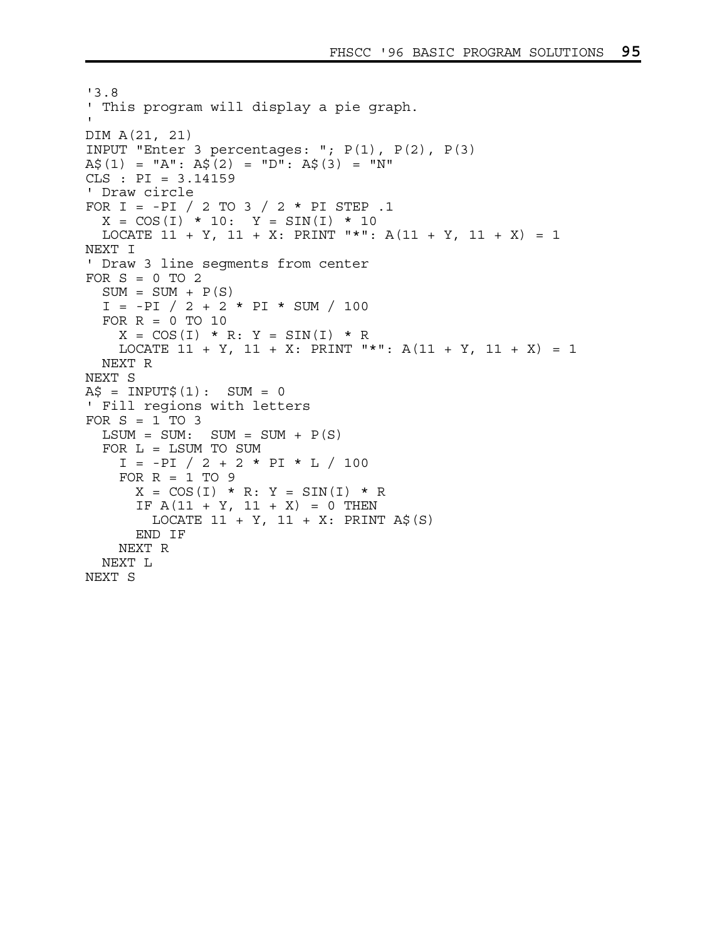```
'3.8 
' This program will display a pie graph. 
' 
DIM A(21, 21) 
INPUT "Enter 3 percentages: "; P(1), P(2), P(3) 
A$(1) = "A": A\overline{S}(2) = "D": A\overline{S}(3) = "N"
CLS : PI = 3.14159 
' Draw circle 
FOR I = -PI / 2 TO 3 / 2 * PI STEP .1 
  X = COS(I) * 10: Y = SIN(I) * 10LOCATE 11 + Y, 11 + X: PRINT "*": A(11 + Y, 11 + X) = 1NEXT I 
' Draw 3 line segments from center 
FOR S = 0 TO 2
  SUM = SUM + P(S)I = -PI / 2 + 2 * PI * SUM / 100FOR R = 0 TO 10
    X = COS(I) * R: Y = SIN(I) * RLOCATE 11 + Y, 11 + X: PRINT "*": A(11 + Y, 11 + X) = 1
  NEXT R 
NEXT S 
A\ = INPUT\ (1): SUM = 0
' Fill regions with letters 
FOR S = 1 TO 3
  LSUM = SUM: SUM = SUM + P(S) FOR L = LSUM TO SUM 
    I = -PI / 2 + 2 * PI * L / 100FOR R = 1 TO 9
      X = COS(I) * R: Y = SIN(I) * RIF A(11 + Y, 11 + X) = 0 THEN
        LOCATE 11 + Y, 11 + X: PRINT A$(S)
       END IF 
     NEXT R 
   NEXT L 
NEXT S
```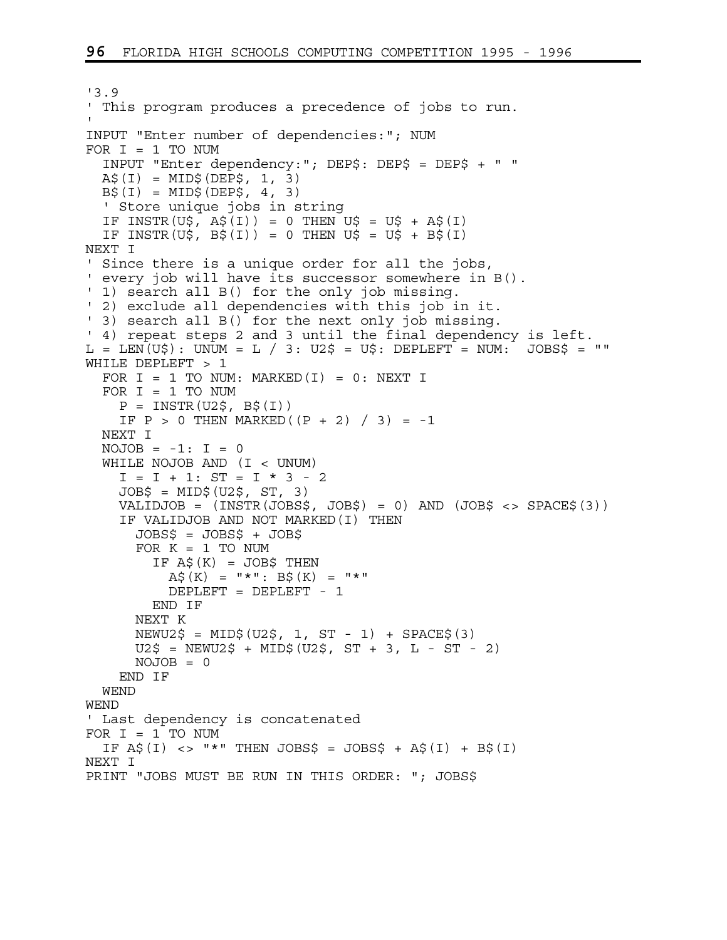```
'3.9 
' This program produces a precedence of jobs to run. 
' 
INPUT "Enter number of dependencies:"; NUM 
FOR I = 1 TO NUM
   INPUT "Enter dependency:"; DEP$: DEP$ = DEP$ + " " 
 A\(1) = MID\(DEP\, 1, 3)
 B\(1) = MID\ (DEP\i, 4, 3)
  ' Store unique jobs in string 
  IF INSTR(U$, A\sharp(I)) = 0 THEN U$ = U$ + A\sharp(I)IF INSTR(U$, B$(I)) = 0 THEN U$ = U$ + B$(I)NEXT I 
' Since there is a unique order for all the jobs, 
' every job will have its successor somewhere in B(). 
' 1) search all B() for the only job missing.
' 2) exclude all dependencies with this job in it. 
' 3) search all B() for the next only job missing. 
' 4) repeat steps 2 and 3 until the final dependency is left. 
L = LEN(U$): UNUM = L / 3: U2$ = U$: DEPLEFT = NUM: JOBS$ = ""WHILE DEPLEFT > 1 
 FOR I = 1 TO NUM: MARKED(I) = 0: NEXT I
  FOR I = 1 TO NUM
    P = INSTR(U2\, B\(1))
    IF P > 0 THEN MARKED((P + 2) / 3 = -1 NEXT I 
  NOJOB = -1: I = 0 WHILE NOJOB AND (I < UNUM) 
    I = I + 1: ST = I * 3 - 2 JOB$ = MID$(U2$, ST, 3) 
     VALIDJOB = (INSTR(JOBS$, JOB$) = 0) AND (JOB$ <> SPACE$(3)) 
     IF VALIDJOB AND NOT MARKED(I) THEN 
       JOBS$ = JOBS$ + JOB$ 
      FOR K = 1 TO NUM
        IF A\sharp(K) = JOB\sharp THEN
          A\sharp(K) = "*": B\sharp(K) = "*" DEPLEFT = DEPLEFT - 1 
         END IF 
       NEXT K 
      NEWU2$ = MID$ (U2$, 1, ST - 1) + SPACE$ (3)U2\ = NEWU2$ + MID$(U2$, ST + 3, L - ST - 2)
      NOJOB = 0 END IF 
   WEND 
WEND 
' Last dependency is concatenated 
FOR I = 1 TO NUM
  IF \overline{AS}(I) \leq \overline{S} "*" THEN JOBS$ = JOBS$ + \overline{AS}(I) + B$(I)
NEXT I 
PRINT "JOBS MUST BE RUN IN THIS ORDER: "; JOBS$
```